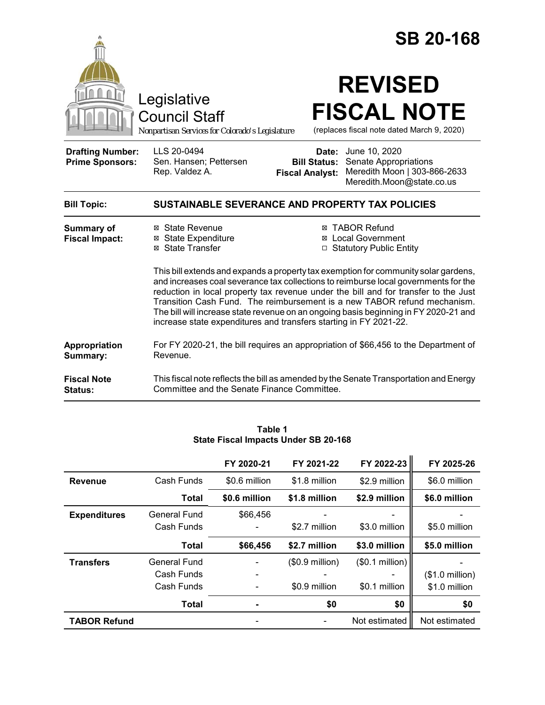|                                                                                                                                                                                                                                                                                                                              |                                                                                                 |                                                        | <b>SB 20-168</b>                                                                                                                                                                                                                                       |  |  |
|------------------------------------------------------------------------------------------------------------------------------------------------------------------------------------------------------------------------------------------------------------------------------------------------------------------------------|-------------------------------------------------------------------------------------------------|--------------------------------------------------------|--------------------------------------------------------------------------------------------------------------------------------------------------------------------------------------------------------------------------------------------------------|--|--|
|                                                                                                                                                                                                                                                                                                                              | Legislative<br><b>Council Staff</b><br>Nonpartisan Services for Colorado's Legislature          |                                                        | <b>REVISED</b><br><b>FISCAL NOTE</b><br>(replaces fiscal note dated March 9, 2020)                                                                                                                                                                     |  |  |
| <b>Drafting Number:</b><br><b>Prime Sponsors:</b>                                                                                                                                                                                                                                                                            | LLS 20-0494<br>Sen. Hansen; Pettersen<br>Rep. Valdez A.                                         | Date:<br><b>Bill Status:</b><br><b>Fiscal Analyst:</b> | June 10, 2020<br>Senate Appropriations<br>Meredith Moon   303-866-2633<br>Meredith.Moon@state.co.us                                                                                                                                                    |  |  |
| <b>Bill Topic:</b>                                                                                                                                                                                                                                                                                                           | SUSTAINABLE SEVERANCE AND PROPERTY TAX POLICIES                                                 |                                                        |                                                                                                                                                                                                                                                        |  |  |
| <b>Summary of</b><br><b>Fiscal Impact:</b>                                                                                                                                                                                                                                                                                   | ⊠ State Revenue<br><b>⊠</b> State Expenditure<br>⊠ State Transfer                               |                                                        | <b>⊠ TABOR Refund</b><br>⊠ Local Government<br>□ Statutory Public Entity<br>This bill extends and expands a property tax exemption for community solar gardens,<br>and increases coal severance tax collections to reimburse local governments for the |  |  |
| reduction in local property tax revenue under the bill and for transfer to the Just<br>Transition Cash Fund. The reimbursement is a new TABOR refund mechanism.<br>The bill will increase state revenue on an ongoing basis beginning in FY 2020-21 and<br>increase state expenditures and transfers starting in FY 2021-22. |                                                                                                 |                                                        |                                                                                                                                                                                                                                                        |  |  |
| Appropriation<br>Summary:                                                                                                                                                                                                                                                                                                    | For FY 2020-21, the bill requires an appropriation of \$66,456 to the Department of<br>Revenue. |                                                        |                                                                                                                                                                                                                                                        |  |  |
| <b>Fiscal Note</b><br>Status:                                                                                                                                                                                                                                                                                                | Committee and the Senate Finance Committee.                                                     |                                                        | This fiscal note reflects the bill as amended by the Senate Transportation and Energy                                                                                                                                                                  |  |  |

|                     |                                                 | FY 2020-21                   | FY 2021-22                        | FY 2022-23                       | FY 2025-26                                |
|---------------------|-------------------------------------------------|------------------------------|-----------------------------------|----------------------------------|-------------------------------------------|
| <b>Revenue</b>      | Cash Funds                                      | \$0.6 million                | \$1.8 million                     | \$2.9 million                    | \$6.0 million                             |
|                     | Total                                           | \$0.6 million                | \$1.8 million                     | \$2.9 million                    | \$6.0 million                             |
| <b>Expenditures</b> | General Fund<br>Cash Funds                      | \$66,456                     | \$2.7 million                     | \$3.0 million                    | \$5.0 million                             |
|                     |                                                 |                              |                                   |                                  |                                           |
|                     | <b>Total</b>                                    | \$66,456                     | \$2.7 million                     | \$3.0 million                    | \$5.0 million                             |
| <b>Transfers</b>    | <b>General Fund</b><br>Cash Funds<br>Cash Funds | $\qquad \qquad \blacksquare$ | $($0.9$ million)<br>\$0.9 million | (\$0.1 million)<br>\$0.1 million | $($1.0 \text{ million})$<br>\$1.0 million |
|                     | Total                                           | $\blacksquare$               | \$0                               | \$0                              | \$0                                       |

#### **Table 1 State Fiscal Impacts Under SB 20-168**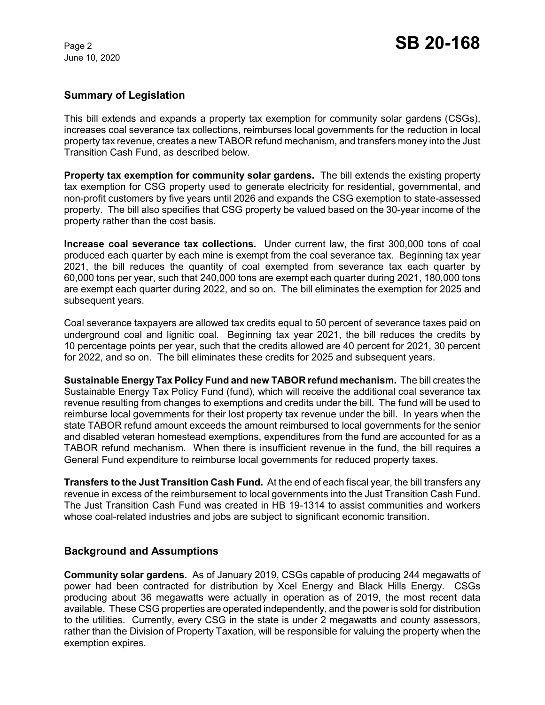# **Summary of Legislation**

This bill extends and expands a property tax exemption for community solar gardens (CSGs), increases coal severance tax collections, reimburses local governments for the reduction in local property tax revenue, creates a new TABOR refund mechanism, and transfers money into the Just Transition Cash Fund, as described below.

**Property tax exemption for community solar gardens.** The bill extends the existing property tax exemption for CSG property used to generate electricity for residential, governmental, and non-profit customers by five years until 2026 and expands the CSG exemption to state-assessed property. The bill also specifies that CSG property be valued based on the 30-year income of the property rather than the cost basis.

**Increase coal severance tax collections.** Under current law, the first 300,000 tons of coal produced each quarter by each mine is exempt from the coal severance tax. Beginning tax year 2021, the bill reduces the quantity of coal exempted from severance tax each quarter by 60,000 tons per year, such that 240,000 tons are exempt each quarter during 2021, 180,000 tons are exempt each quarter during 2022, and so on. The bill eliminates the exemption for 2025 and subsequent years.

Coal severance taxpayers are allowed tax credits equal to 50 percent of severance taxes paid on underground coal and lignitic coal. Beginning tax year 2021, the bill reduces the credits by 10 percentage points per year, such that the credits allowed are 40 percent for 2021, 30 percent for 2022, and so on. The bill eliminates these credits for 2025 and subsequent years.

**Sustainable Energy Tax Policy Fund and new TABOR refund mechanism.** The bill creates the Sustainable Energy Tax Policy Fund (fund), which will receive the additional coal severance tax revenue resulting from changes to exemptions and credits under the bill. The fund will be used to reimburse local governments for their lost property tax revenue under the bill. In years when the state TABOR refund amount exceeds the amount reimbursed to local governments for the senior and disabled veteran homestead exemptions, expenditures from the fund are accounted for as a TABOR refund mechanism. When there is insufficient revenue in the fund, the bill requires a General Fund expenditure to reimburse local governments for reduced property taxes.

**Transfers to the Just Transition Cash Fund.** At the end of each fiscal year, the bill transfers any revenue in excess of the reimbursement to local governments into the Just Transition Cash Fund. The Just Transition Cash Fund was created in HB 19-1314 to assist communities and workers whose coal-related industries and jobs are subject to significant economic transition.

## **Background and Assumptions**

**Community solar gardens.** As of January 2019, CSGs capable of producing 244 megawatts of power had been contracted for distribution by Xcel Energy and Black Hills Energy. CSGs producing about 36 megawatts were actually in operation as of 2019, the most recent data available. These CSG properties are operated independently, and the power is sold for distribution to the utilities. Currently, every CSG in the state is under 2 megawatts and county assessors, rather than the Division of Property Taxation, will be responsible for valuing the property when the exemption expires.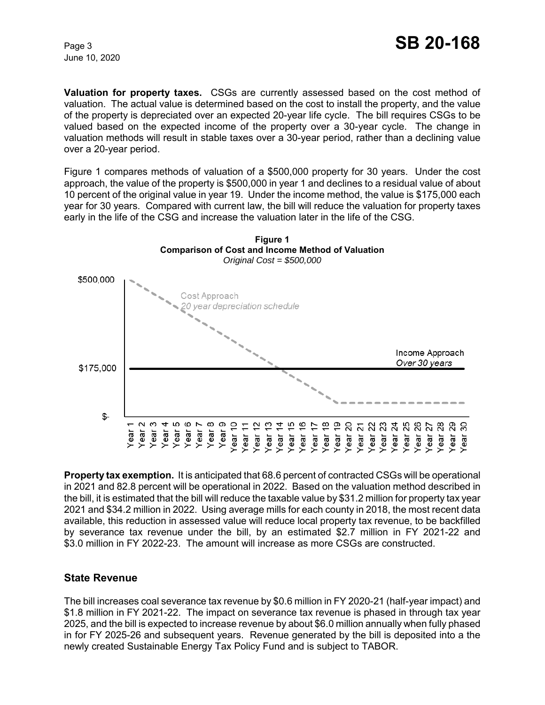**Valuation for property taxes.** CSGs are currently assessed based on the cost method of valuation. The actual value is determined based on the cost to install the property, and the value of the property is depreciated over an expected 20-year life cycle. The bill requires CSGs to be valued based on the expected income of the property over a 30-year cycle. The change in valuation methods will result in stable taxes over a 30-year period, rather than a declining value over a 20-year period.

Figure 1 compares methods of valuation of a \$500,000 property for 30 years. Under the cost approach, the value of the property is \$500,000 in year 1 and declines to a residual value of about 10 percent of the original value in year 19. Under the income method, the value is \$175,000 each year for 30 years. Compared with current law, the bill will reduce the valuation for property taxes early in the life of the CSG and increase the valuation later in the life of the CSG.



**Property tax exemption.** It is anticipated that 68.6 percent of contracted CSGs will be operational in 2021 and 82.8 percent will be operational in 2022. Based on the valuation method described in the bill, it is estimated that the bill will reduce the taxable value by \$31.2 million for property tax year 2021 and \$34.2 million in 2022. Using average mills for each county in 2018, the most recent data available, this reduction in assessed value will reduce local property tax revenue, to be backfilled by severance tax revenue under the bill, by an estimated \$2.7 million in FY 2021-22 and \$3.0 million in FY 2022-23. The amount will increase as more CSGs are constructed.

## **State Revenue**

The bill increases coal severance tax revenue by \$0.6 million in FY 2020-21 (half-year impact) and \$1.8 million in FY 2021-22. The impact on severance tax revenue is phased in through tax year 2025, and the bill is expected to increase revenue by about \$6.0 million annually when fully phased in for FY 2025-26 and subsequent years. Revenue generated by the bill is deposited into a the newly created Sustainable Energy Tax Policy Fund and is subject to TABOR.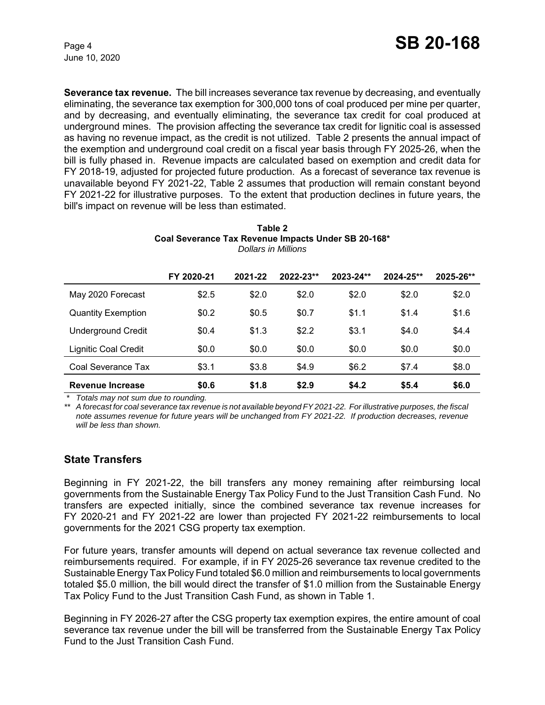**Severance tax revenue.** The bill increases severance tax revenue by decreasing, and eventually eliminating, the severance tax exemption for 300,000 tons of coal produced per mine per quarter, and by decreasing, and eventually eliminating, the severance tax credit for coal produced at underground mines. The provision affecting the severance tax credit for lignitic coal is assessed as having no revenue impact, as the credit is not utilized. Table 2 presents the annual impact of the exemption and underground coal credit on a fiscal year basis through FY 2025-26, when the bill is fully phased in. Revenue impacts are calculated based on exemption and credit data for FY 2018-19, adjusted for projected future production. As a forecast of severance tax revenue is unavailable beyond FY 2021-22, Table 2 assumes that production will remain constant beyond FY 2021-22 for illustrative purposes. To the extent that production declines in future years, the bill's impact on revenue will be less than estimated.

| Tanic Z |                                                     |  |  |  |
|---------|-----------------------------------------------------|--|--|--|
|         | Coal Severance Tax Revenue Impacts Under SB 20-168* |  |  |  |
|         | Dollars in Millions                                 |  |  |  |
|         |                                                     |  |  |  |

**Table 2**

|                             | FY 2020-21 | 2021-22 | 2022-23** | 2023-24** | 2024-25** | 2025-26** |
|-----------------------------|------------|---------|-----------|-----------|-----------|-----------|
| May 2020 Forecast           | \$2.5      | \$2.0   | \$2.0     | \$2.0     | \$2.0     | \$2.0     |
| <b>Quantity Exemption</b>   | \$0.2      | \$0.5   | \$0.7     | \$1.1     | \$1.4     | \$1.6     |
| <b>Underground Credit</b>   | \$0.4      | \$1.3   | \$2.2     | \$3.1     | \$4.0     | \$4.4     |
| <b>Lignitic Coal Credit</b> | \$0.0      | \$0.0   | \$0.0     | \$0.0     | \$0.0     | \$0.0     |
| Coal Severance Tax          | \$3.1      | \$3.8   | \$4.9     | \$6.2     | \$7.4     | \$8.0     |
| Revenue Increase            | \$0.6      | \$1.8   | \$2.9     | \$4.2     | \$5.4     | \$6.0     |

 *\* Totals may not sum due to rounding.*

*\*\* A forecast for coal severance tax revenue is not available beyond FY 2021-22. For illustrative purposes, the fiscal note assumes revenue for future years will be unchanged from FY 2021-22. If production decreases, revenue will be less than shown.*

## **State Transfers**

Beginning in FY 2021-22, the bill transfers any money remaining after reimbursing local governments from the Sustainable Energy Tax Policy Fund to the Just Transition Cash Fund. No transfers are expected initially, since the combined severance tax revenue increases for FY 2020-21 and FY 2021-22 are lower than projected FY 2021-22 reimbursements to local governments for the 2021 CSG property tax exemption.

For future years, transfer amounts will depend on actual severance tax revenue collected and reimbursements required. For example, if in FY 2025-26 severance tax revenue credited to the Sustainable Energy Tax Policy Fund totaled \$6.0 million and reimbursements to local governments totaled \$5.0 million, the bill would direct the transfer of \$1.0 million from the Sustainable Energy Tax Policy Fund to the Just Transition Cash Fund, as shown in Table 1.

Beginning in FY 2026-27 after the CSG property tax exemption expires, the entire amount of coal severance tax revenue under the bill will be transferred from the Sustainable Energy Tax Policy Fund to the Just Transition Cash Fund.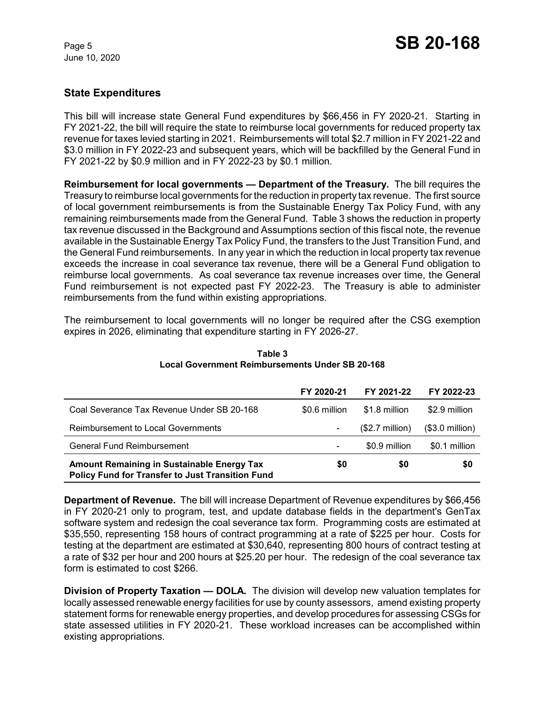# **State Expenditures**

This bill will increase state General Fund expenditures by \$66,456 in FY 2020-21. Starting in FY 2021-22, the bill will require the state to reimburse local governments for reduced property tax revenue for taxes levied starting in 2021. Reimbursements will total \$2.7 million in FY 2021-22 and \$3.0 million in FY 2022-23 and subsequent years, which will be backfilled by the General Fund in FY 2021-22 by \$0.9 million and in FY 2022-23 by \$0.1 million.

**Reimbursement for local governments — Department of the Treasury.** The bill requires the Treasury to reimburse local governments for the reduction in property tax revenue. The first source of local government reimbursements is from the Sustainable Energy Tax Policy Fund, with any remaining reimbursements made from the General Fund. Table 3 shows the reduction in property tax revenue discussed in the Background and Assumptions section of this fiscal note, the revenue available in the Sustainable Energy Tax Policy Fund, the transfers to the Just Transition Fund, and the General Fund reimbursements. In any year in which the reduction in local property tax revenue exceeds the increase in coal severance tax revenue, there will be a General Fund obligation to reimburse local governments. As coal severance tax revenue increases over time, the General Fund reimbursement is not expected past FY 2022-23. The Treasury is able to administer reimbursements from the fund within existing appropriations.

The reimbursement to local governments will no longer be required after the CSG exemption expires in 2026, eliminating that expenditure starting in FY 2026-27.

|                                                                                                              | FY 2020-21    | FY 2021-22       | FY 2022-23       |
|--------------------------------------------------------------------------------------------------------------|---------------|------------------|------------------|
| Coal Severance Tax Revenue Under SB 20-168                                                                   | \$0.6 million | \$1.8 million    | \$2.9 million    |
| Reimbursement to Local Governments                                                                           |               | $($2.7$ million) | $($3.0$ million) |
| General Fund Reimbursement                                                                                   |               | \$0.9 million    | \$0.1 million    |
| <b>Amount Remaining in Sustainable Energy Tax</b><br><b>Policy Fund for Transfer to Just Transition Fund</b> | \$0           | \$0              | \$0              |

**Table 3 Local Government Reimbursements Under SB 20-168**

**Department of Revenue.** The bill will increase Department of Revenue expenditures by \$66,456 in FY 2020-21 only to program, test, and update database fields in the department's GenTax software system and redesign the coal severance tax form. Programming costs are estimated at \$35,550, representing 158 hours of contract programming at a rate of \$225 per hour. Costs for testing at the department are estimated at \$30,640, representing 800 hours of contract testing at a rate of \$32 per hour and 200 hours at \$25.20 per hour. The redesign of the coal severance tax form is estimated to cost \$266.

**Division of Property Taxation — DOLA.** The division will develop new valuation templates for locally assessed renewable energy facilities for use by county assessors, amend existing property statement forms for renewable energy properties, and develop procedures for assessing CSGs for state assessed utilities in FY 2020-21. These workload increases can be accomplished within existing appropriations.